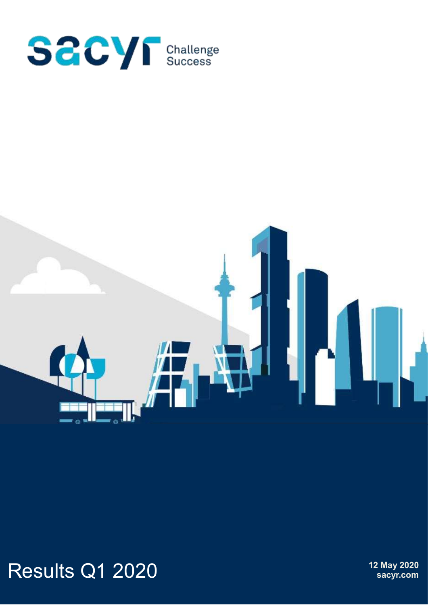



# Results Q1 2020 **12 May 2020**

**sacyr.com**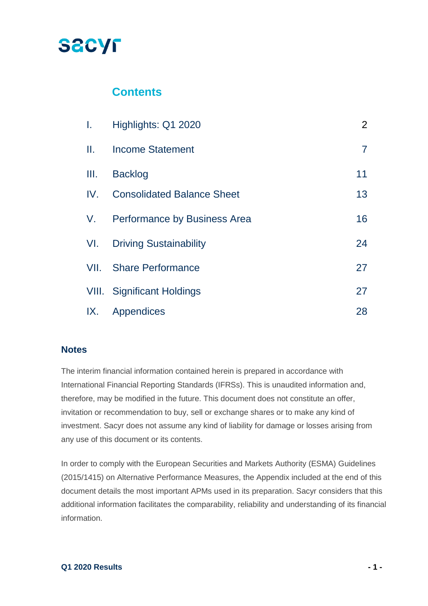## **SACYF**

### **Contents**

| L.   | Highlights: Q1 2020                 | $\overline{2}$ |
|------|-------------------------------------|----------------|
| Ш.   | <b>Income Statement</b>             | $\overline{7}$ |
| III. | <b>Backlog</b>                      | 11             |
| IV.  | <b>Consolidated Balance Sheet</b>   | 13             |
| V.   | <b>Performance by Business Area</b> | 16             |
| VI.  | <b>Driving Sustainability</b>       | 24             |
| VII. | <b>Share Performance</b>            | 27             |
|      | <b>VIII.</b> Significant Holdings   | 27             |
| IX.  | Appendices                          | 28             |

#### **Notes**

The interim financial information contained herein is prepared in accordance with International Financial Reporting Standards (IFRSs). This is unaudited information and, therefore, may be modified in the future. This document does not constitute an offer, invitation or recommendation to buy, sell or exchange shares or to make any kind of investment. Sacyr does not assume any kind of liability for damage or losses arising from any use of this document or its contents.

In order to comply with the European Securities and Markets Authority (ESMA) Guidelines (2015/1415) on Alternative Performance Measures, the Appendix included at the end of this document details the most important APMs used in its preparation. Sacyr considers that this additional information facilitates the comparability, reliability and understanding of its financial information.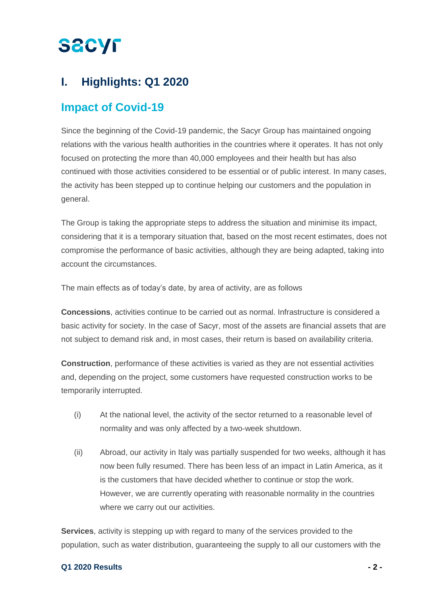## **I. Highlights: Q1 2020**

### **Impact of Covid-19**

Since the beginning of the Covid-19 pandemic, the Sacyr Group has maintained ongoing relations with the various health authorities in the countries where it operates. It has not only focused on protecting the more than 40,000 employees and their health but has also continued with those activities considered to be essential or of public interest. In many cases, the activity has been stepped up to continue helping our customers and the population in general.

The Group is taking the appropriate steps to address the situation and minimise its impact, considering that it is a temporary situation that, based on the most recent estimates, does not compromise the performance of basic activities, although they are being adapted, taking into account the circumstances.

The main effects as of today's date, by area of activity, are as follows

**Concessions**, activities continue to be carried out as normal. Infrastructure is considered a basic activity for society. In the case of Sacyr, most of the assets are financial assets that are not subject to demand risk and, in most cases, their return is based on availability criteria.

**Construction**, performance of these activities is varied as they are not essential activities and, depending on the project, some customers have requested construction works to be temporarily interrupted.

- (i) At the national level, the activity of the sector returned to a reasonable level of normality and was only affected by a two-week shutdown.
- (ii) Abroad, our activity in Italy was partially suspended for two weeks, although it has now been fully resumed. There has been less of an impact in Latin America, as it is the customers that have decided whether to continue or stop the work. However, we are currently operating with reasonable normality in the countries where we carry out our activities.

**Services**, activity is stepping up with regard to many of the services provided to the population, such as water distribution, guaranteeing the supply to all our customers with the

#### **Q1 2020 Results - 2 -**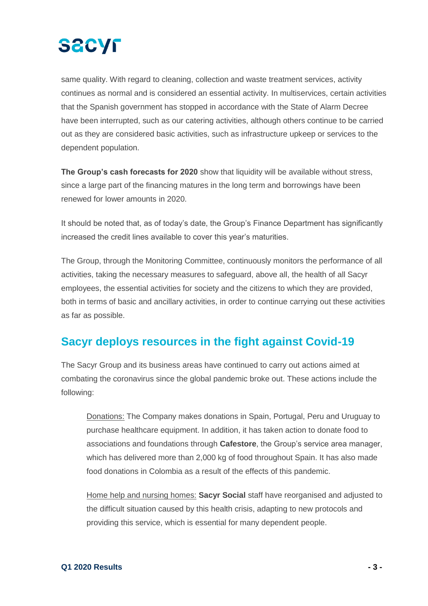

same quality. With regard to cleaning, collection and waste treatment services, activity continues as normal and is considered an essential activity. In multiservices, certain activities that the Spanish government has stopped in accordance with the State of Alarm Decree have been interrupted, such as our catering activities, although others continue to be carried out as they are considered basic activities, such as infrastructure upkeep or services to the dependent population.

**The Group's cash forecasts for 2020** show that liquidity will be available without stress, since a large part of the financing matures in the long term and borrowings have been renewed for lower amounts in 2020.

It should be noted that, as of today's date, the Group's Finance Department has significantly increased the credit lines available to cover this year's maturities.

The Group, through the Monitoring Committee, continuously monitors the performance of all activities, taking the necessary measures to safeguard, above all, the health of all Sacyr employees, the essential activities for society and the citizens to which they are provided, both in terms of basic and ancillary activities, in order to continue carrying out these activities as far as possible.

### **Sacyr deploys resources in the fight against Covid-19**

The Sacyr Group and its business areas have continued to carry out actions aimed at combating the coronavirus since the global pandemic broke out. These actions include the following:

Donations: The Company makes donations in Spain, Portugal, Peru and Uruguay to purchase healthcare equipment. In addition, it has taken action to donate food to associations and foundations through **Cafestore**, the Group's service area manager, which has delivered more than 2,000 kg of food throughout Spain. It has also made food donations in Colombia as a result of the effects of this pandemic.

Home help and nursing homes: **Sacyr Social** staff have reorganised and adjusted to the difficult situation caused by this health crisis, adapting to new protocols and providing this service, which is essential for many dependent people.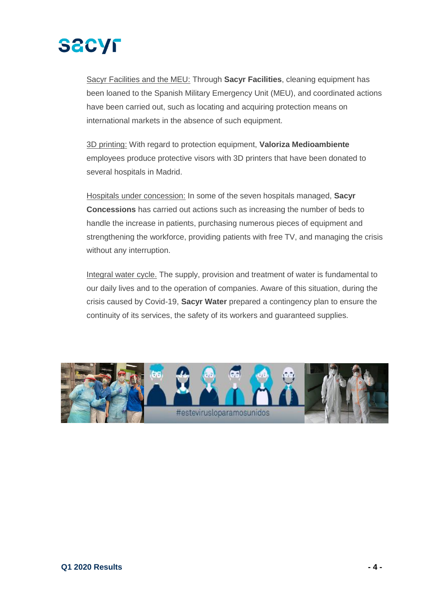

Sacyr Facilities and the MEU: Through **Sacyr Facilities**, cleaning equipment has been loaned to the Spanish Military Emergency Unit (MEU), and coordinated actions have been carried out, such as locating and acquiring protection means on international markets in the absence of such equipment.

3D printing: With regard to protection equipment, **Valoriza Medioambiente** employees produce protective visors with 3D printers that have been donated to several hospitals in Madrid.

Hospitals under concession: In some of the seven hospitals managed, **Sacyr Concessions** has carried out actions such as increasing the number of beds to handle the increase in patients, purchasing numerous pieces of equipment and strengthening the workforce, providing patients with free TV, and managing the crisis without any interruption.

Integral water cycle. The supply, provision and treatment of water is fundamental to our daily lives and to the operation of companies. Aware of this situation, during the crisis caused by Covid-19, **Sacyr Water** prepared a contingency plan to ensure the continuity of its services, the safety of its workers and guaranteed supplies.

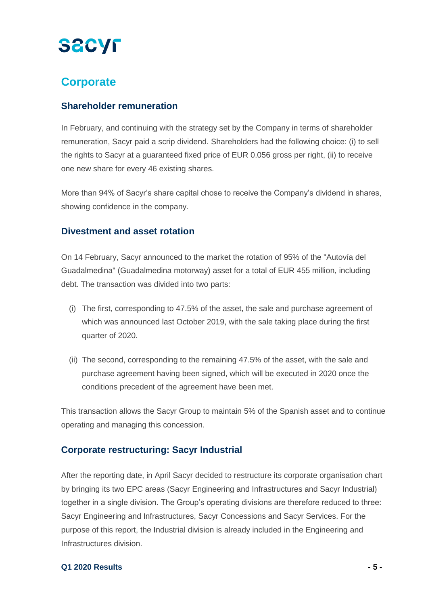## **Corporate**

### **Shareholder remuneration**

In February, and continuing with the strategy set by the Company in terms of shareholder remuneration, Sacyr paid a scrip dividend. Shareholders had the following choice: (i) to sell the rights to Sacyr at a guaranteed fixed price of EUR 0.056 gross per right, (ii) to receive one new share for every 46 existing shares.

More than 94% of Sacyr's share capital chose to receive the Company's dividend in shares, showing confidence in the company.

#### **Divestment and asset rotation**

On 14 February, Sacyr announced to the market the rotation of 95% of the "Autovía del Guadalmedina" (Guadalmedina motorway) asset for a total of EUR 455 million, including debt. The transaction was divided into two parts:

- (i) The first, corresponding to 47.5% of the asset, the sale and purchase agreement of which was announced last October 2019, with the sale taking place during the first quarter of 2020.
- (ii) The second, corresponding to the remaining 47.5% of the asset, with the sale and purchase agreement having been signed, which will be executed in 2020 once the conditions precedent of the agreement have been met.

This transaction allows the Sacyr Group to maintain 5% of the Spanish asset and to continue operating and managing this concession.

### **Corporate restructuring: Sacyr Industrial**

After the reporting date, in April Sacyr decided to restructure its corporate organisation chart by bringing its two EPC areas (Sacyr Engineering and Infrastructures and Sacyr Industrial) together in a single division. The Group's operating divisions are therefore reduced to three: Sacyr Engineering and Infrastructures, Sacyr Concessions and Sacyr Services. For the purpose of this report, the Industrial division is already included in the Engineering and Infrastructures division.

#### **Q1 2020 Results - 5 -**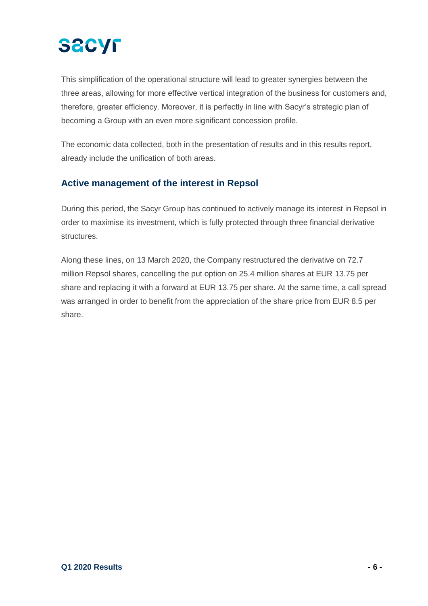

This simplification of the operational structure will lead to greater synergies between the three areas, allowing for more effective vertical integration of the business for customers and, therefore, greater efficiency. Moreover, it is perfectly in line with Sacyr's strategic plan of becoming a Group with an even more significant concession profile.

The economic data collected, both in the presentation of results and in this results report, already include the unification of both areas.

#### **Active management of the interest in Repsol**

During this period, the Sacyr Group has continued to actively manage its interest in Repsol in order to maximise its investment, which is fully protected through three financial derivative structures.

Along these lines, on 13 March 2020, the Company restructured the derivative on 72.7 million Repsol shares, cancelling the put option on 25.4 million shares at EUR 13.75 per share and replacing it with a forward at EUR 13.75 per share. At the same time, a call spread was arranged in order to benefit from the appreciation of the share price from EUR 8.5 per share.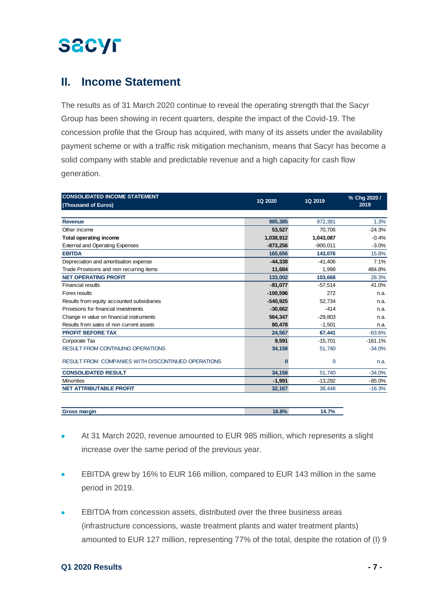### **II. Income Statement**

The results as of 31 March 2020 continue to reveal the operating strength that the Sacyr Group has been showing in recent quarters, despite the impact of the Covid-19. The concession profile that the Group has acquired, with many of its assets under the availability payment scheme or with a traffic risk mitigation mechanism, means that Sacyr has become a solid company with stable and predictable revenue and a high capacity for cash flow generation.

| <b>CONSOLIDATED INCOME STATEMENT</b>               |            |            | % Chg 2020 / |
|----------------------------------------------------|------------|------------|--------------|
| (Thousand of Euros)                                | 1Q 2020    | 1Q 2019    | 2019         |
|                                                    |            |            |              |
| <b>Revenue</b>                                     | 985,385    | 972,381    | 1.3%         |
| Other income                                       | 53,527     | 70.706     | $-24.3%$     |
| <b>Total operating income</b>                      | 1,038,912  | 1,043,087  | $-0.4%$      |
| <b>External and Operating Expenses</b>             | $-873,256$ | $-900,011$ | $-3.0%$      |
| <b>EBITDA</b>                                      | 165,656    | 143,076    | 15.8%        |
| Depreciation and amortisation expense              | $-44,338$  | $-41,406$  | 7.1%         |
| Trade Provisions and non recurring items           | 11,684     | 1,998      | 484.8%       |
| <b>NET OPERATING PROFIT</b>                        | 133,002    | 103,668    | 28.3%        |
| <b>Financial results</b>                           | $-81,077$  | $-57,514$  | 41.0%        |
| Forex results                                      | $-100,596$ | 272        | n.a.         |
| Results from equity accounted subsidiaries         | $-540,925$ | 52.734     | n.a.         |
| Provisions for financial investments               | $-30.662$  | $-414$     | n.a.         |
| Change in value on financial instruments           | 564,347    | $-29,803$  | n.a.         |
| Results from sales of non current assets           | 80,478     | $-1,501$   | n.a.         |
| <b>PROFIT BEFORE TAX</b>                           | 24,567     | 67,441     | $-63.6%$     |
| Corporate Tax                                      | 9,591      | $-15,701$  | $-161.1%$    |
| <b>RESULT FROM CONTINUING OPERATIONS</b>           | 34,158     | 51,740     | $-34.0%$     |
| RESULT FROM COMPANIES WITH DISCONTINUED OPERATIONS | n          | 0          | n.a.         |
| <b>CONSOLIDATED RESULT</b>                         | 34,158     | 51,740     | $-34.0%$     |
| <b>Minorities</b>                                  | $-1,991$   | $-13,292$  | $-85.0%$     |
| <b>NET ATTRIBUTABLE PROFIT</b>                     | 32,167     | 38,448     | $-16.3%$     |

| <b>Gross margin</b> | ACOOV<br>$\sigma$ % | 14.7%<br>. |
|---------------------|---------------------|------------|
|                     |                     |            |

- At 31 March 2020, revenue amounted to EUR 985 million, which represents a slight increase over the same period of the previous year.
- EBITDA grew by 16% to EUR 166 million, compared to EUR 143 million in the same period in 2019.
- EBITDA from concession assets, distributed over the three business areas (infrastructure concessions, waste treatment plants and water treatment plants) amounted to EUR 127 million, representing 77% of the total, despite the rotation of (I) 9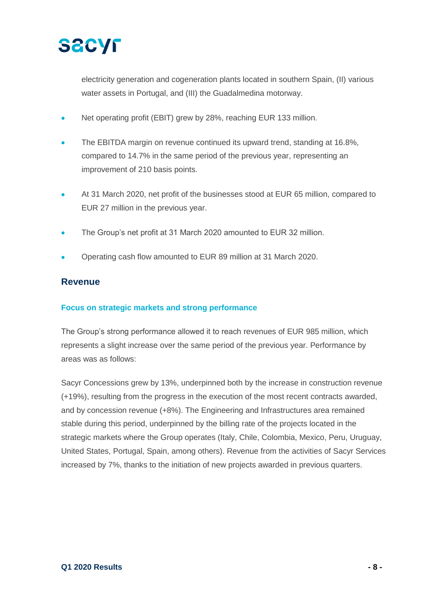

electricity generation and cogeneration plants located in southern Spain, (II) various water assets in Portugal, and (III) the Guadalmedina motorway.

- Net operating profit (EBIT) grew by 28%, reaching EUR 133 million.
- The EBITDA margin on revenue continued its upward trend, standing at 16.8%, compared to 14.7% in the same period of the previous year, representing an improvement of 210 basis points.
- At 31 March 2020, net profit of the businesses stood at EUR 65 million, compared to EUR 27 million in the previous year.
- The Group's net profit at 31 March 2020 amounted to EUR 32 million.
- Operating cash flow amounted to EUR 89 million at 31 March 2020.

#### **Revenue**

#### **Focus on strategic markets and strong performance**

The Group's strong performance allowed it to reach revenues of EUR 985 million, which represents a slight increase over the same period of the previous year. Performance by areas was as follows:

Sacyr Concessions grew by 13%, underpinned both by the increase in construction revenue (+19%), resulting from the progress in the execution of the most recent contracts awarded, and by concession revenue (+8%). The Engineering and Infrastructures area remained stable during this period, underpinned by the billing rate of the projects located in the strategic markets where the Group operates (Italy, Chile, Colombia, Mexico, Peru, Uruguay, United States, Portugal, Spain, among others). Revenue from the activities of Sacyr Services increased by 7%, thanks to the initiation of new projects awarded in previous quarters.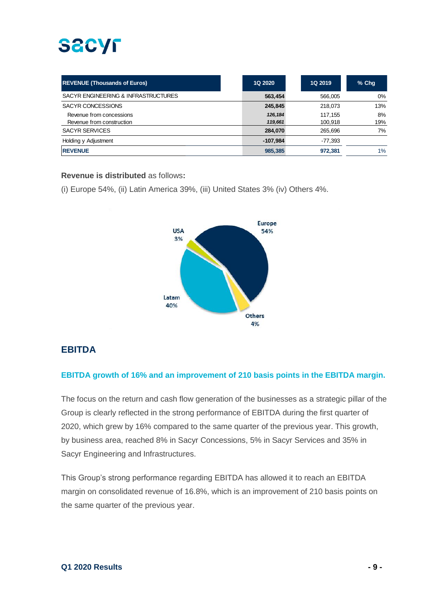| <b>REVENUE (Thousands of Euros)</b> | <b>1Q 2020</b> | 1Q 2019   | $%$ Chq |
|-------------------------------------|----------------|-----------|---------|
| SACYR ENGINEERING & INFRASTRUCTURES | 563,454        | 566.005   | 0%      |
| SACYR CONCESSIONS                   | 245,845        | 218,073   | 13%     |
| Revenue from concessions            | 126,184        | 117.155   | 8%      |
| Revenue from construction           | 119,661        | 100,918   | 19%     |
| <b>SACYR SERVICES</b>               | 284.070        | 265.696   | 7%      |
| Holding y Adjustment                | -107.984       | $-77.393$ |         |
| <b>REVENUE</b>                      | 985.385        | 972.381   | 1%      |

#### **Revenue is distributed** as follows**:**

(i) Europe 54%, (ii) Latin America 39%, (iii) United States 3% (iv) Others 4%.



### **EBITDA**

#### **EBITDA growth of 16% and an improvement of 210 basis points in the EBITDA margin.**

The focus on the return and cash flow generation of the businesses as a strategic pillar of the Group is clearly reflected in the strong performance of EBITDA during the first quarter of 2020, which grew by 16% compared to the same quarter of the previous year. This growth, by business area, reached 8% in Sacyr Concessions, 5% in Sacyr Services and 35% in Sacyr Engineering and Infrastructures.

This Group's strong performance regarding EBITDA has allowed it to reach an EBITDA margin on consolidated revenue of 16.8%, which is an improvement of 210 basis points on the same quarter of the previous year.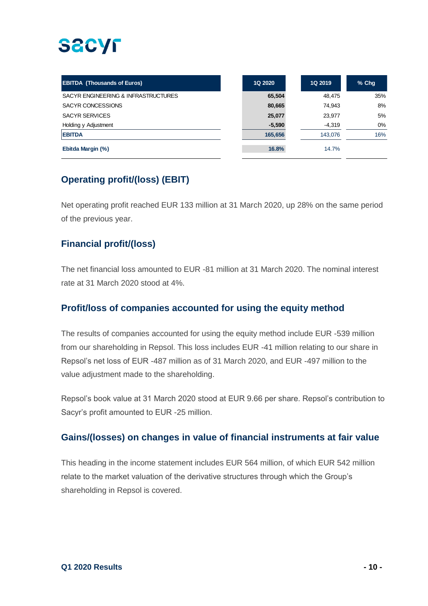# **SACYF**

| <b>EBITDA (Thousands of Euros)</b>  | 1Q 2020  | 1Q 2019  | $%$ Chq |
|-------------------------------------|----------|----------|---------|
| SACYR ENGINEERING & INFRASTRUCTURES | 65,504   | 48,475   | 35%     |
| SACYR CONCESSIONS                   | 80,665   | 74,943   | 8%      |
| <b>SACYR SERVICES</b>               | 25,077   | 23,977   | 5%      |
| Holding y Adjustment                | $-5,590$ | $-4,319$ | $0\%$   |
| <b>EBITDA</b>                       | 165,656  | 143,076  | 16%     |
| Ebitda Margin (%)                   | 16.8%    | 14.7%    |         |

### **Operating profit/(loss) (EBIT)**

Net operating profit reached EUR 133 million at 31 March 2020, up 28% on the same period of the previous year.

### **Financial profit/(loss)**

The net financial loss amounted to EUR -81 million at 31 March 2020. The nominal interest rate at 31 March 2020 stood at 4%.

### **Profit/loss of companies accounted for using the equity method**

The results of companies accounted for using the equity method include EUR -539 million from our shareholding in Repsol. This loss includes EUR -41 million relating to our share in Repsol's net loss of EUR -487 million as of 31 March 2020, and EUR -497 million to the value adjustment made to the shareholding.

Repsol's book value at 31 March 2020 stood at EUR 9.66 per share. Repsol's contribution to Sacyr's profit amounted to EUR -25 million.

### **Gains/(losses) on changes in value of financial instruments at fair value**

This heading in the income statement includes EUR 564 million, of which EUR 542 million relate to the market valuation of the derivative structures through which the Group's shareholding in Repsol is covered.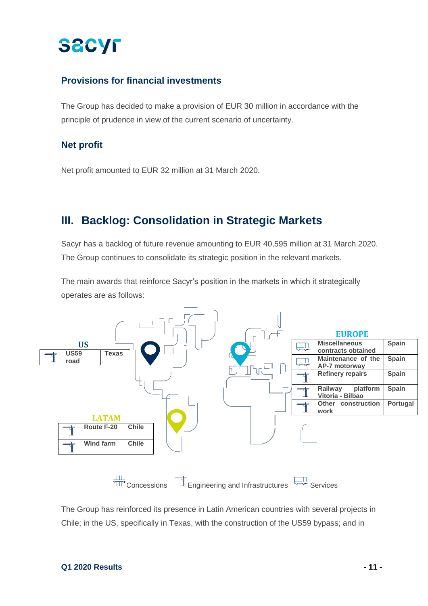### **Provisions for financial investments**

The Group has decided to make a provision of EUR 30 million in accordance with the principle of prudence in view of the current scenario of uncertainty.

#### **Net profit**

Net profit amounted to EUR 32 million at 31 March 2020.

### **III. Backlog: Consolidation in Strategic Markets**

Sacyr has a backlog of future revenue amounting to EUR 40,595 million at 31 March 2020. The Group continues to consolidate its strategic position in the relevant markets.

The main awards that reinforce Sacyr's position in the markets in which it strategically operates are as follows:



The Group has reinforced its presence in Latin American countries with several projects in Chile; in the US, specifically in Texas, with the construction of the US59 bypass; and in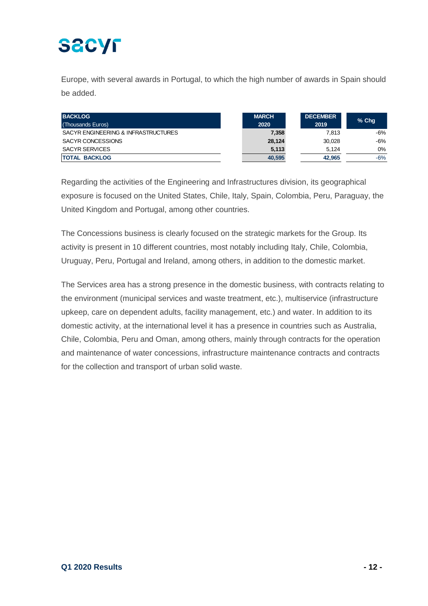# **SACYF**

Europe, with several awards in Portugal, to which the high number of awards in Spain should be added.

| <b>BACKLOG</b><br>(Thousands Euros) | <b>MARCH</b><br>2020 | <b>DECEMBER</b><br>2019 | $%$ Chq |
|-------------------------------------|----------------------|-------------------------|---------|
| SACYR ENGINEERING & INFRASTRUCTURES | 7,358                | 7.813                   | -6%     |
| SACYR CONCESSIONS                   | 28.124               | 30.028                  | -6%     |
| <b>SACYR SERVICES</b>               | 5,113                | 5.124                   | 0%      |
| <b>TOTAL BACKLOG</b>                | 40,595               | 42.965                  | $-6%$   |

Regarding the activities of the Engineering and Infrastructures division, its geographical exposure is focused on the United States, Chile, Italy, Spain, Colombia, Peru, Paraguay, the United Kingdom and Portugal, among other countries.

The Concessions business is clearly focused on the strategic markets for the Group. Its activity is present in 10 different countries, most notably including Italy, Chile, Colombia, Uruguay, Peru, Portugal and Ireland, among others, in addition to the domestic market.

The Services area has a strong presence in the domestic business, with contracts relating to the environment (municipal services and waste treatment, etc.), multiservice (infrastructure upkeep, care on dependent adults, facility management, etc.) and water. In addition to its domestic activity, at the international level it has a presence in countries such as Australia, Chile, Colombia, Peru and Oman, among others, mainly through contracts for the operation and maintenance of water concessions, infrastructure maintenance contracts and contracts for the collection and transport of urban solid waste.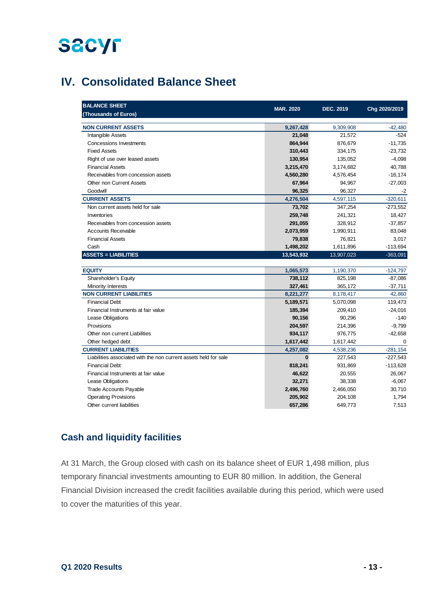## **IV. Consolidated Balance Sheet**

| <b>BALANCE SHEET</b><br>(Thousands of Euros)                     | <b>MAR. 2020</b> | DEC. 2019  | Chg 2020/2019 |
|------------------------------------------------------------------|------------------|------------|---------------|
| <b>NON CURRENT ASSETS</b>                                        | 9,267,428        | 9,309,908  | $-42,480$     |
| Intangible Assets                                                | 21,048           | 21,572     | $-524$        |
| <b>Concessions Investments</b>                                   | 864,944          | 876,679    | $-11,735$     |
| <b>Fixed Assets</b>                                              | 310,443          | 334,175    | $-23,732$     |
| Right of use over leased assets                                  | 130,954          | 135,052    | $-4,098$      |
| <b>Financial Assets</b>                                          | 3,215,470        | 3,174,682  | 40,788        |
| Receivables from concession assets                               | 4,560,280        | 4,576,454  | $-16, 174$    |
| <b>Other non Current Assets</b>                                  | 67,964           | 94,967     | $-27,003$     |
| Goodwill                                                         | 96,325           | 96,327     | -2            |
| <b>CURRENT ASSETS</b>                                            | 4,276,504        | 4,597,115  | $-320,611$    |
| Non current assets held for sale                                 | 73,702           | 347,254    | $-273,552$    |
| Inventories                                                      | 259,748          | 241,321    | 18,427        |
| Receivables from concession assets                               | 291,055          | 328,912    | $-37,857$     |
| <b>Accounts Receivable</b>                                       | 2,073,959        | 1,990,911  | 83,048        |
| <b>Financial Assets</b>                                          | 79,838           | 76,821     | 3,017         |
| Cash                                                             | 1,498,202        | 1,611,896  | $-113,694$    |
| <b>ASSETS = LIABILITIES</b>                                      | 13,543,932       | 13,907,023 | $-363,091$    |
| <b>EQUITY</b>                                                    | 1,065,573        | 1,190,370  | $-124,797$    |
| Shareholder's Equity                                             | 738,112          | 825,198    | $-87,086$     |
| Minority Interests                                               | 327,461          | 365,172    | $-37,711$     |
| <b>NON CURRENT LIABILITIES</b>                                   | 8,221,277        | 8,178,417  | 42,860        |
| <b>Financial Debt</b>                                            | 5,189,571        | 5,070,098  | 119,473       |
| Financial Instruments at fair value                              | 185,394          | 209,410    | $-24,016$     |
| Lease Obligations                                                | 90,156           | 90,296     | $-140$        |
| Provisions                                                       | 204,597          | 214,396    | $-9,799$      |
| Other non current Liabilities                                    | 934,117          | 976,775    | $-42,658$     |
| Other hedged debt                                                | 1,617,442        | 1,617,442  | $\mathbf 0$   |
| <b>CURRENT LIABILITIES</b>                                       | 4,257,082        | 4,538,236  | $-281,154$    |
| Liabilities associated with the non current assets held for sale | $\bf{0}$         | 227,543    | $-227,543$    |
| <b>Financial Debt</b>                                            | 818,241          | 931,869    | $-113,628$    |
| Financial Instruments at fair value                              | 46,622           | 20,555     | 26,067        |
| Lease Obligations                                                | 32,271           | 38,338     | $-6,067$      |
| <b>Trade Accounts Payable</b>                                    | 2,496,760        | 2,466,050  | 30,710        |
| <b>Operating Provisions</b>                                      | 205,902          | 204,108    | 1,794         |
| Other current liabilities                                        | 657,286          | 649,773    | 7,513         |

### **Cash and liquidity facilities**

At 31 March, the Group closed with cash on its balance sheet of EUR 1,498 million, plus temporary financial investments amounting to EUR 80 million. In addition, the General Financial Division increased the credit facilities available during this period, which were used to cover the maturities of this year.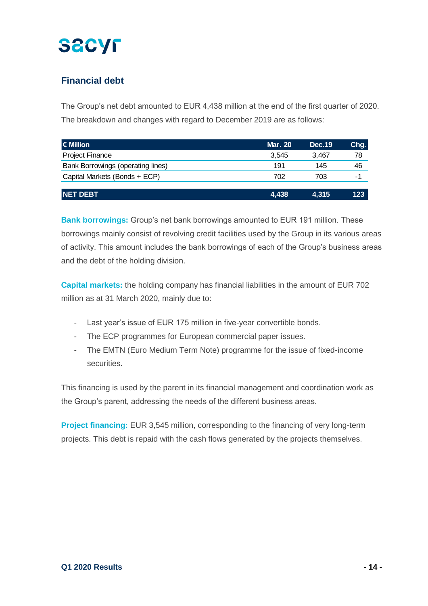### **Financial debt**

The Group's net debt amounted to EUR 4,438 million at the end of the first quarter of 2020. The breakdown and changes with regard to December 2019 are as follows:

| $\epsilon$ Million                | <b>Mar. 20</b> | <b>Dec.19</b> | Chg. |
|-----------------------------------|----------------|---------------|------|
| <b>Project Finance</b>            | 3.545          | 3.467         | 78   |
| Bank Borrowings (operating lines) | 191            | 145           | 46   |
| Capital Markets (Bonds + ECP)     | 702            | 703           | -1   |
|                                   |                |               |      |
| <b>NET DEBT</b>                   | 4,438          | 4,315         | 123  |

**Bank borrowings:** Group's net bank borrowings amounted to EUR 191 million. These borrowings mainly consist of revolving credit facilities used by the Group in its various areas of activity. This amount includes the bank borrowings of each of the Group's business areas and the debt of the holding division.

**Capital markets:** the holding company has financial liabilities in the amount of EUR 702 million as at 31 March 2020, mainly due to:

- Last year's issue of EUR 175 million in five-year convertible bonds.
- The ECP programmes for European commercial paper issues.
- The EMTN (Euro Medium Term Note) programme for the issue of fixed-income securities.

This financing is used by the parent in its financial management and coordination work as the Group's parent, addressing the needs of the different business areas.

**Project financing:** EUR 3,545 million, corresponding to the financing of very long-term projects. This debt is repaid with the cash flows generated by the projects themselves.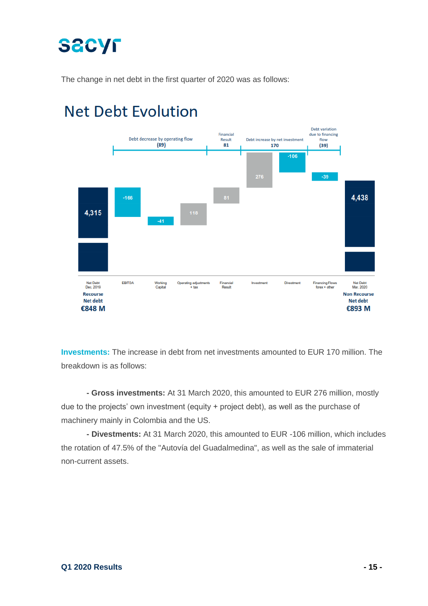The change in net debt in the first quarter of 2020 was as follows:



## **Net Debt Evolution**

**Investments:** The increase in debt from net investments amounted to EUR 170 million. The breakdown is as follows:

**- Gross investments:** At 31 March 2020, this amounted to EUR 276 million, mostly due to the projects' own investment (equity + project debt), as well as the purchase of machinery mainly in Colombia and the US.

**- Divestments:** At 31 March 2020, this amounted to EUR -106 million, which includes the rotation of 47.5% of the "Autovía del Guadalmedina", as well as the sale of immaterial non-current assets.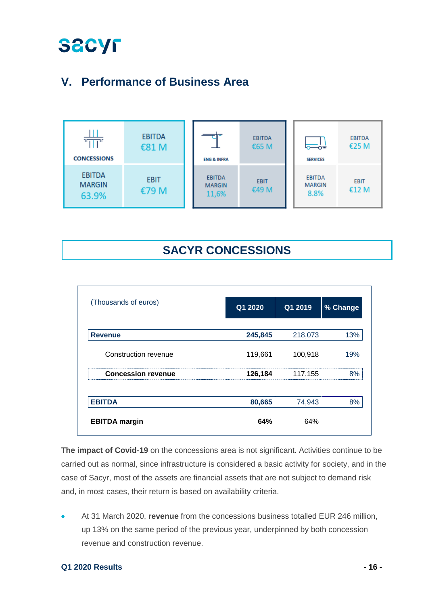## **V. Performance of Business Area**



### **SACYR CONCESSIONS**

| (Thousands of euros)      | Q1 2020 | Q1 2019 | % Change |
|---------------------------|---------|---------|----------|
|                           |         |         |          |
| <b>Revenue</b>            | 245,845 | 218,073 | 13%      |
| Construction revenue      | 119,661 | 100,918 | 19%      |
| <b>Concession revenue</b> | 126,184 | 117,155 | 8%       |
| <b>EBITDA</b>             | 80,665  | 74,943  | 8%       |
| <b>EBITDA</b> margin      | 64%     | 64%     |          |

**The impact of Covid-19** on the concessions area is not significant. Activities continue to be carried out as normal, since infrastructure is considered a basic activity for society, and in the case of Sacyr, most of the assets are financial assets that are not subject to demand risk and, in most cases, their return is based on availability criteria.

• At 31 March 2020, **revenue** from the concessions business totalled EUR 246 million, up 13% on the same period of the previous year, underpinned by both concession revenue and construction revenue.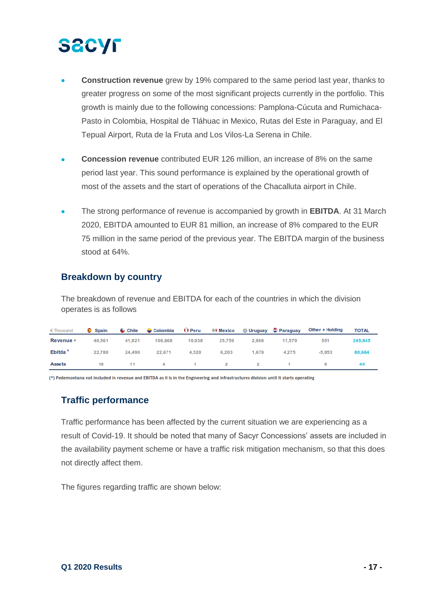- **Construction revenue** grew by 19% compared to the same period last year, thanks to greater progress on some of the most significant projects currently in the portfolio. This growth is mainly due to the following concessions: Pamplona-Cúcuta and Rumichaca-Pasto in Colombia, Hospital de Tláhuac in Mexico, Rutas del Este in Paraguay, and El Tepual Airport, Ruta de la Fruta and Los Vilos-La Serena in Chile.
- **Concession revenue** contributed EUR 126 million, an increase of 8% on the same period last year. This sound performance is explained by the operational growth of most of the assets and the start of operations of the Chacalluta airport in Chile.
- The strong performance of revenue is accompanied by growth in **EBITDA**. At 31 March 2020, EBITDA amounted to EUR 81 million, an increase of 8% compared to the EUR 75 million in the same period of the previous year. The EBITDA margin of the business stood at 64%.

#### **Breakdown by country**

The breakdown of revenue and EBITDA for each of the countries in which the division operates is as follows

| € Thousand          | $\bullet$ Spain | $\mathbf C$ Chile | $\bullet$ Colombia | $\mathbf 0$ Peru | (a) Mexico |       | <b><sup>●</sup> Uruguay ● Paraguay</b> | Other + Holding | <b>TOTAL</b> |
|---------------------|-----------------|-------------------|--------------------|------------------|------------|-------|----------------------------------------|-----------------|--------------|
| Revenue *           | 40.561          | 41,821            | 106,668            | 10,038           | 25.759     | 2.868 | 17,579                                 | 551             | 245.845      |
| Ebitda <sup>*</sup> | 22.780          | 24,490            | 22,671             | 4,520            | 6.203      | 1,679 | 4,275                                  | $-5.953$        | 80,664       |
| <b>Assets</b>       | 18              | 11                | 4 1 2 2            |                  |            |       |                                        | 6               | 45           |

(\*) Pedemontana not included in revenue and EBITDA as it is in the Engineering and Infrastructures division until it starts operating

### **Traffic performance**

Traffic performance has been affected by the current situation we are experiencing as a result of Covid-19. It should be noted that many of Sacyr Concessions' assets are included in the availability payment scheme or have a traffic risk mitigation mechanism, so that this does not directly affect them.

The figures regarding traffic are shown below: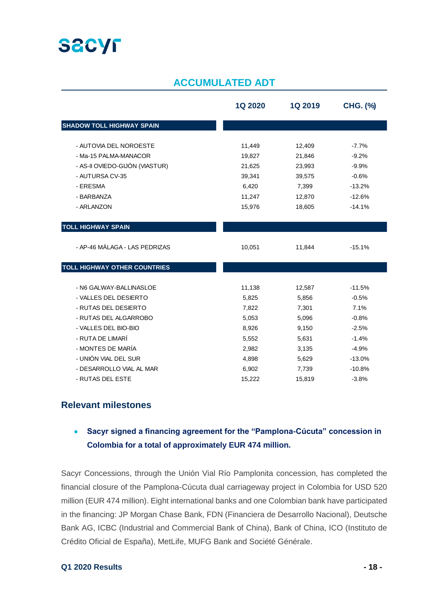## **SACYL**

### **ACCUMULATED ADT**

|                                     | <b>1Q 2020</b> | <b>1Q 2019</b> | <b>CHG. (%)</b> |
|-------------------------------------|----------------|----------------|-----------------|
| <b>SHADOW TOLL HIGHWAY SPAIN</b>    |                |                |                 |
| - AUTOVIA DEL NOROESTE              | 11,449         | 12,409         | $-7.7%$         |
| - Ma-15 PALMA-MANACOR               | 19,827         | 21,846         | $-9.2%$         |
| - AS-II OVIEDO-GIJÓN (VIASTUR)      | 21,625         | 23,993         | $-9.9%$         |
| - AUTURSA CV-35                     | 39,341         | 39,575         | $-0.6%$         |
| - ERESMA                            | 6,420          | 7,399          | $-13.2%$        |
| - BARBANZA                          | 11,247         | 12,870         | $-12.6%$        |
| - ARLANZON                          | 15,976         | 18,605         | $-14.1%$        |
| <b>TOLL HIGHWAY SPAIN</b>           |                |                |                 |
| - AP-46 MÁLAGA - LAS PEDRIZAS       | 10,051         | 11,844         | $-15.1%$        |
| <b>TOLL HIGHWAY OTHER COUNTRIES</b> |                |                |                 |
| - N6 GALWAY-BALLINASLOE             | 11,138         | 12,587         | $-11.5%$        |
| - VALLES DEL DESIERTO               | 5,825          | 5,856          | $-0.5%$         |
| - RUTAS DEL DESIERTO                | 7,822          | 7,301          | 7.1%            |
| - RUTAS DEL ALGARROBO               | 5,053          | 5,096          | $-0.8%$         |
| - VALLES DEL BIO-BIO                | 8,926          | 9,150          | $-2.5%$         |
| - RUTA DE LIMARÍ                    | 5,552          | 5,631          | $-1.4%$         |
| - MONTES DE MARÍA                   | 2,982          | 3,135          | $-4.9%$         |
| - UNIÓN VIAL DEL SUR                | 4,898          | 5,629          | $-13.0%$        |
| - DESARROLLO VIAL AL MAR            | 6,902          | 7,739          | $-10.8%$        |
| - RUTAS DEL ESTE                    | 15,222         | 15,819         | $-3.8%$         |

#### **Relevant milestones**

### • **Sacyr signed a financing agreement for the "Pamplona-Cúcuta" concession in Colombia for a total of approximately EUR 474 million.**

Sacyr Concessions, through the Unión Vial Río Pamplonita concession, has completed the financial closure of the Pamplona-Cúcuta dual carriageway project in Colombia for USD 520 million (EUR 474 million). Eight international banks and one Colombian bank have participated in the financing: JP Morgan Chase Bank, FDN (Financiera de Desarrollo Nacional), Deutsche Bank AG, ICBC (Industrial and Commercial Bank of China), Bank of China, ICO (Instituto de Crédito Oficial de España), MetLife, MUFG Bank and Société Générale.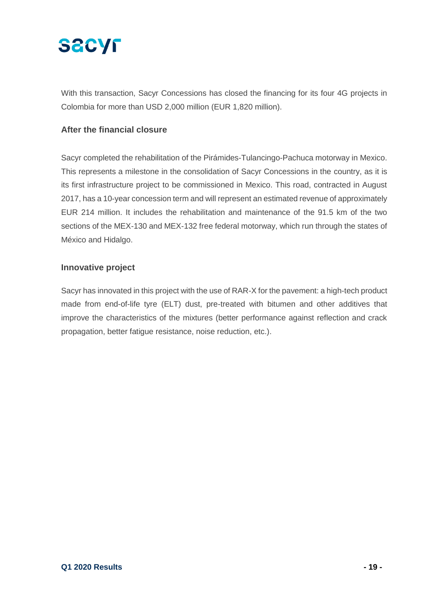

With this transaction, Sacyr Concessions has closed the financing for its four 4G projects in Colombia for more than USD 2,000 million (EUR 1,820 million).

#### **After the financial closure**

Sacyr completed the rehabilitation of the Pirámides-Tulancingo-Pachuca motorway in Mexico. This represents a milestone in the consolidation of Sacyr Concessions in the country, as it is its first infrastructure project to be commissioned in Mexico. This road, contracted in August 2017, has a 10-year concession term and will represent an estimated revenue of approximately EUR 214 million. It includes the rehabilitation and maintenance of the 91.5 km of the two sections of the MEX-130 and MEX-132 free federal motorway, which run through the states of México and Hidalgo.

#### **Innovative project**

Sacyr has innovated in this project with the use of RAR-X for the pavement: a high-tech product made from end-of-life tyre (ELT) dust, pre-treated with bitumen and other additives that improve the characteristics of the mixtures (better performance against reflection and crack propagation, better fatigue resistance, noise reduction, etc.).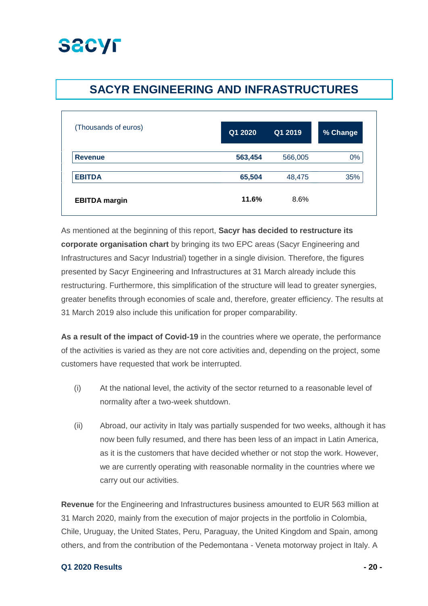## **SACYR ENGINEERING AND INFRASTRUCTURES**

| (Thousands of euros) | Q1 2020 | Q12019  | % Change |
|----------------------|---------|---------|----------|
| <b>Revenue</b>       | 563,454 | 566,005 | 0%       |
| <b>EBITDA</b>        | 65,504  | 48,475  | 35%      |
| <b>EBITDA</b> margin | 11.6%   | 8.6%    |          |

As mentioned at the beginning of this report, **Sacyr has decided to restructure its corporate organisation chart** by bringing its two EPC areas (Sacyr Engineering and Infrastructures and Sacyr Industrial) together in a single division. Therefore, the figures presented by Sacyr Engineering and Infrastructures at 31 March already include this restructuring. Furthermore, this simplification of the structure will lead to greater synergies, greater benefits through economies of scale and, therefore, greater efficiency. The results at 31 March 2019 also include this unification for proper comparability.

**As a result of the impact of Covid-19** in the countries where we operate, the performance of the activities is varied as they are not core activities and, depending on the project, some customers have requested that work be interrupted.

- (i) At the national level, the activity of the sector returned to a reasonable level of normality after a two-week shutdown.
- (ii) Abroad, our activity in Italy was partially suspended for two weeks, although it has now been fully resumed, and there has been less of an impact in Latin America, as it is the customers that have decided whether or not stop the work. However, we are currently operating with reasonable normality in the countries where we carry out our activities.

**Revenue** for the Engineering and Infrastructures business amounted to EUR 563 million at 31 March 2020, mainly from the execution of major projects in the portfolio in Colombia, Chile, Uruguay, the United States, Peru, Paraguay, the United Kingdom and Spain, among others, and from the contribution of the Pedemontana - Veneta motorway project in Italy. A

#### **Q1 2020 Results - 20 -**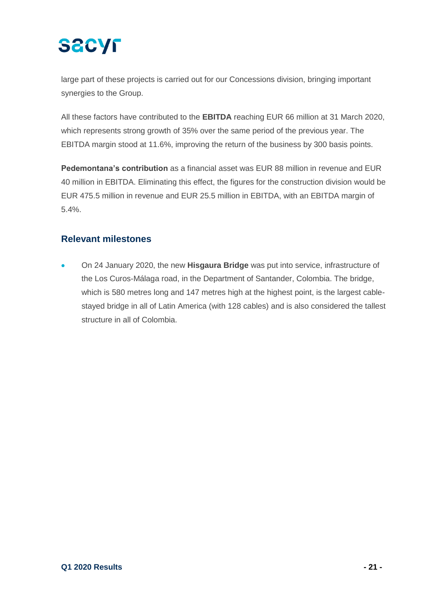large part of these projects is carried out for our Concessions division, bringing important synergies to the Group.

All these factors have contributed to the **EBITDA** reaching EUR 66 million at 31 March 2020, which represents strong growth of 35% over the same period of the previous year. The EBITDA margin stood at 11.6%, improving the return of the business by 300 basis points.

**Pedemontana's contribution** as a financial asset was EUR 88 million in revenue and EUR 40 million in EBITDA. Eliminating this effect, the figures for the construction division would be EUR 475.5 million in revenue and EUR 25.5 million in EBITDA, with an EBITDA margin of 5.4%.

### **Relevant milestones**

• On 24 January 2020, the new **Hisgaura Bridge** was put into service, infrastructure of the Los Curos-Málaga road, in the Department of Santander, Colombia. The bridge, which is 580 metres long and 147 metres high at the highest point, is the largest cablestayed bridge in all of Latin America (with 128 cables) and is also considered the tallest structure in all of Colombia.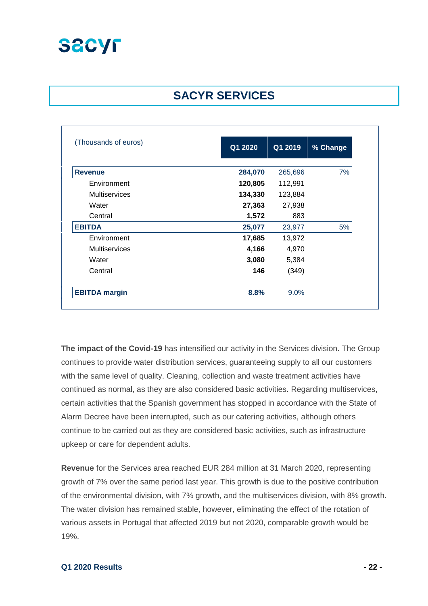

### **SACYR SERVICES**

| (Thousands of euros) | Q1 2020 | Q1 2019 | % Change |
|----------------------|---------|---------|----------|
|                      |         |         |          |
| <b>Revenue</b>       | 284,070 | 265,696 | 7%       |
| Environment          | 120,805 | 112,991 |          |
| <b>Multiservices</b> | 134,330 | 123,884 |          |
| Water                | 27,363  | 27,938  |          |
| Central              | 1,572   | 883     |          |
| <b>EBITDA</b>        | 25,077  | 23,977  | 5%       |
| Environment          | 17,685  | 13,972  |          |
| <b>Multiservices</b> | 4,166   | 4,970   |          |
| Water                | 3,080   | 5,384   |          |
| Central              | 146     | (349)   |          |
| <b>EBITDA</b> margin | 8.8%    | $9.0\%$ |          |

**The impact of the Covid-19** has intensified our activity in the Services division. The Group continues to provide water distribution services, guaranteeing supply to all our customers with the same level of quality. Cleaning, collection and waste treatment activities have continued as normal, as they are also considered basic activities. Regarding multiservices, certain activities that the Spanish government has stopped in accordance with the State of Alarm Decree have been interrupted, such as our catering activities, although others continue to be carried out as they are considered basic activities, such as infrastructure upkeep or care for dependent adults.

**Revenue** for the Services area reached EUR 284 million at 31 March 2020, representing growth of 7% over the same period last year. This growth is due to the positive contribution of the environmental division, with 7% growth, and the multiservices division, with 8% growth. The water division has remained stable, however, eliminating the effect of the rotation of various assets in Portugal that affected 2019 but not 2020, comparable growth would be 19%.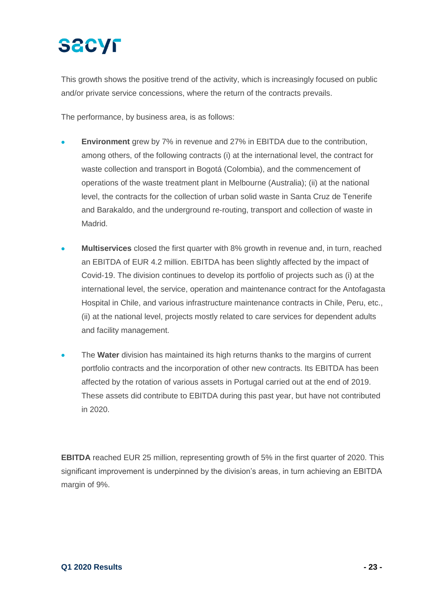# **SECYF**

This growth shows the positive trend of the activity, which is increasingly focused on public and/or private service concessions, where the return of the contracts prevails.

The performance, by business area, is as follows:

- **Environment** grew by 7% in revenue and 27% in EBITDA due to the contribution, among others, of the following contracts (i) at the international level, the contract for waste collection and transport in Bogotá (Colombia), and the commencement of operations of the waste treatment plant in Melbourne (Australia); (ii) at the national level, the contracts for the collection of urban solid waste in Santa Cruz de Tenerife and Barakaldo, and the underground re-routing, transport and collection of waste in Madrid.
- **Multiservices** closed the first quarter with 8% growth in revenue and, in turn, reached an EBITDA of EUR 4.2 million. EBITDA has been slightly affected by the impact of Covid-19. The division continues to develop its portfolio of projects such as (i) at the international level, the service, operation and maintenance contract for the Antofagasta Hospital in Chile, and various infrastructure maintenance contracts in Chile, Peru, etc., (ii) at the national level, projects mostly related to care services for dependent adults and facility management.
- The **Water** division has maintained its high returns thanks to the margins of current portfolio contracts and the incorporation of other new contracts. Its EBITDA has been affected by the rotation of various assets in Portugal carried out at the end of 2019. These assets did contribute to EBITDA during this past year, but have not contributed in 2020.

**EBITDA** reached EUR 25 million, representing growth of 5% in the first quarter of 2020. This significant improvement is underpinned by the division's areas, in turn achieving an EBITDA margin of 9%.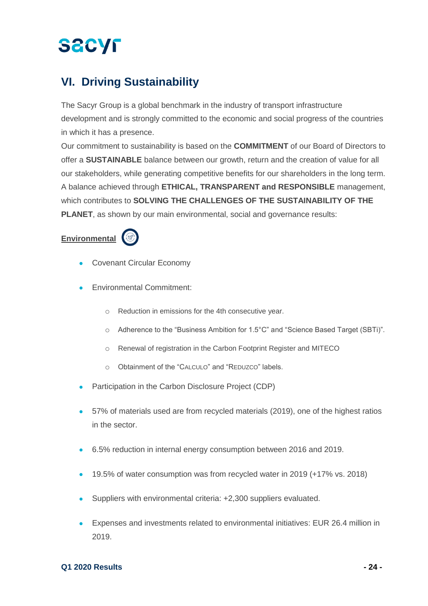## **VI. Driving Sustainability**

The Sacyr Group is a global benchmark in the industry of transport infrastructure development and is strongly committed to the economic and social progress of the countries in which it has a presence.

Our commitment to sustainability is based on the **COMMITMENT** of our Board of Directors to offer a **SUSTAINABLE** balance between our growth, return and the creation of value for all our stakeholders, while generating competitive benefits for our shareholders in the long term. A balance achieved through **ETHICAL, TRANSPARENT and RESPONSIBLE** management, which contributes to **SOLVING THE CHALLENGES OF THE SUSTAINABILITY OF THE PLANET**, as shown by our main environmental, social and governance results:

### **Environmental**



- Covenant Circular Economy
- Environmental Commitment:
	- o Reduction in emissions for the 4th consecutive year.
	- o Adherence to the "Business Ambition for 1.5°C" and "Science Based Target (SBTi)".
	- o Renewal of registration in the Carbon Footprint Register and MITECO
	- o Obtainment of the "CALCULO" and "REDUZCO" labels.
- Participation in the Carbon Disclosure Project (CDP)
- 57% of materials used are from recycled materials (2019), one of the highest ratios in the sector.
- 6.5% reduction in internal energy consumption between 2016 and 2019.
- 19.5% of water consumption was from recycled water in 2019 (+17% vs. 2018)
- Suppliers with environmental criteria: +2,300 suppliers evaluated.
- Expenses and investments related to environmental initiatives: EUR 26.4 million in 2019.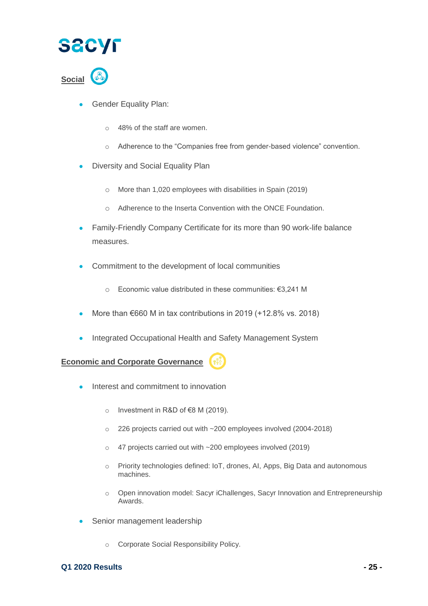



- Gender Equality Plan:
	- o 48% of the staff are women.
	- o Adherence to the "Companies free from gender-based violence" convention.
- Diversity and Social Equality Plan
	- o More than 1,020 employees with disabilities in Spain (2019)
	- o Adherence to the Inserta Convention with the ONCE Foundation.
- Family-Friendly Company Certificate for its more than 90 work-life balance measures.
- Commitment to the development of local communities
	- o Economic value distributed in these communities: €3,241 M
- More than  $\epsilon$ 660 M in tax contributions in 2019 (+12.8% vs. 2018)
- Integrated Occupational Health and Safety Management System

**Economic and Corporate Governance**

- Interest and commitment to innovation
	- o Investment in R&D of €8 M (2019).
	- o 226 projects carried out with ~200 employees involved (2004-2018)
	- o 47 projects carried out with ~200 employees involved (2019)
	- o Priority technologies defined: IoT, drones, AI, Apps, Big Data and autonomous machines.
	- o Open innovation model: Sacyr iChallenges, Sacyr Innovation and Entrepreneurship Awards.
- Senior management leadership
	- o Corporate Social Responsibility Policy.

#### **Q1 2020 Results - 25 -**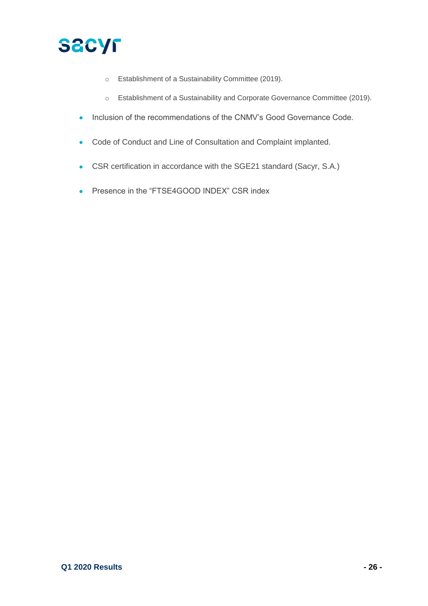

- o Establishment of a Sustainability Committee (2019).
- o Establishment of a Sustainability and Corporate Governance Committee (2019).
- Inclusion of the recommendations of the CNMV's Good Governance Code.
- Code of Conduct and Line of Consultation and Complaint implanted.
- CSR certification in accordance with the SGE21 standard (Sacyr, S.A.)
- Presence in the "FTSE4GOOD INDEX" CSR index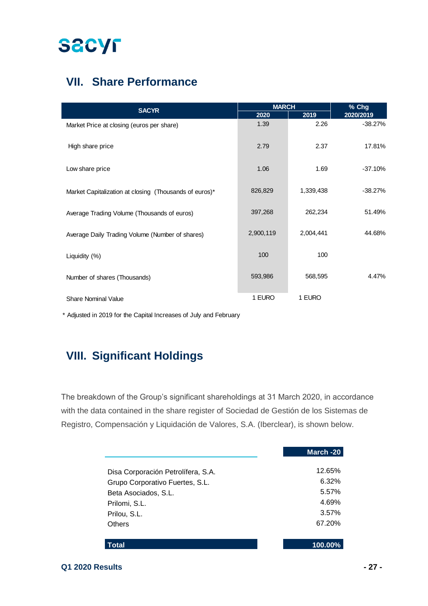## **VII. Share Performance**

| <b>SACYR</b>                                           | <b>MARCH</b> |           | % Chg     |  |
|--------------------------------------------------------|--------------|-----------|-----------|--|
|                                                        | 2020         | 2019      | 2020/2019 |  |
| Market Price at closing (euros per share)              | 1.39         | 2.26      | $-38.27%$ |  |
| High share price                                       | 2.79         | 2.37      | 17.81%    |  |
| Low share price                                        | 1.06         | 1.69      | $-37.10%$ |  |
| Market Capitalization at closing (Thousands of euros)* | 826,829      | 1,339,438 | $-38.27%$ |  |
| Average Trading Volume (Thousands of euros)            | 397,268      | 262,234   | 51.49%    |  |
| Average Daily Trading Volume (Number of shares)        | 2,900,119    | 2,004,441 | 44.68%    |  |
| Liquidity (%)                                          | 100          | 100       |           |  |
| Number of shares (Thousands)                           | 593,986      | 568,595   | 4.47%     |  |
| <b>Share Nominal Value</b>                             | 1 EURO       | 1 EURO    |           |  |

\* Adjusted in 2019 for the Capital Increases of July and February

## **VIII. Significant Holdings**

The breakdown of the Group's significant shareholdings at 31 March 2020, in accordance with the data contained in the share register of Sociedad de Gestión de los Sistemas de Registro, Compensación y Liquidación de Valores, S.A. (Iberclear), is shown below.

|                                    | March -20 |
|------------------------------------|-----------|
| Disa Corporación Petrolífera, S.A. | 12.65%    |
| Grupo Corporativo Fuertes, S.L.    | 6.32%     |
| Beta Asociados, S.L.               | 5.57%     |
| Prilomi, S.L.                      | 4.69%     |
| Prilou, S.L.                       | 3.57%     |
| Others                             | 67.20%    |
| Total                              | 100.00%   |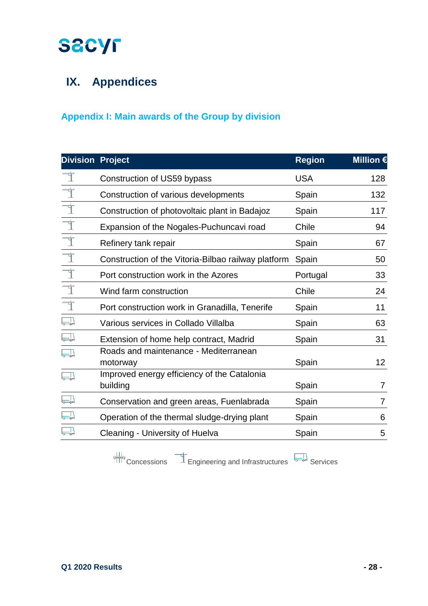## **IX. Appendices**

### **Appendix I: Main awards of the Group by division**

| <b>Division Project</b> |                                                         | <b>Region</b> | <b>Million €</b> |
|-------------------------|---------------------------------------------------------|---------------|------------------|
|                         | Construction of US59 bypass                             | <b>USA</b>    | 128              |
|                         | Construction of various developments                    | Spain         | 132              |
| $\overline{\mathbb{F}}$ | Construction of photovoltaic plant in Badajoz           | Spain         | 117              |
| ᄏ                       | Expansion of the Nogales-Puchuncavi road                | Chile         | 94               |
| $\overline{\mathbb{I}}$ | Refinery tank repair                                    | Spain         | 67               |
| $\overline{\mathbb{F}}$ | Construction of the Vitoria-Bilbao railway platform     | Spain         | 50               |
| $\overline{\mathbb{I}}$ | Port construction work in the Azores                    | Portugal      | 33               |
| $\overline{\mathbb{I}}$ | Wind farm construction                                  | Chile         | 24               |
| $\overline{\mathbb{F}}$ | Port construction work in Granadilla, Tenerife          | Spain         | 11               |
| $\Box$                  | Various services in Collado Villalba                    | Spain         | 63               |
| $\Box$                  | Extension of home help contract, Madrid                 | Spain         | 31               |
|                         | Roads and maintenance - Mediterranean<br>motorway       | Spain         | 12 <sub>2</sub>  |
|                         | Improved energy efficiency of the Catalonia<br>building | Spain         | 7                |
|                         | Conservation and green areas, Fuenlabrada               | Spain         | $\overline{7}$   |
| $\Box$                  | Operation of the thermal sludge-drying plant            | Spain         | 6                |
|                         | Cleaning - University of Huelva                         | Spain         | 5                |

 $\frac{111}{1111}$  Concessions  $\frac{1}{111}$  Engineering and Infrastructures  $\frac{1}{600}$  Services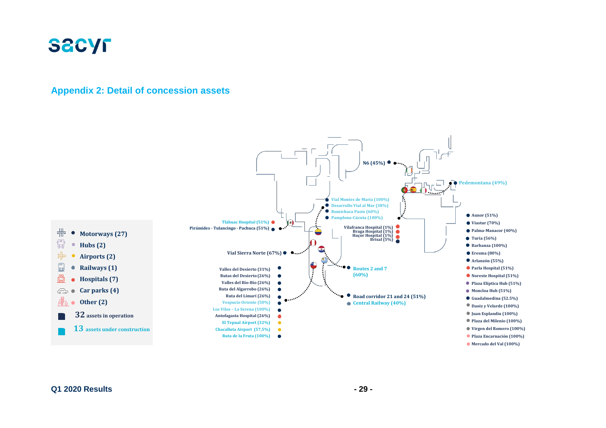

#### **Appendix 2: Detail of concession assets**

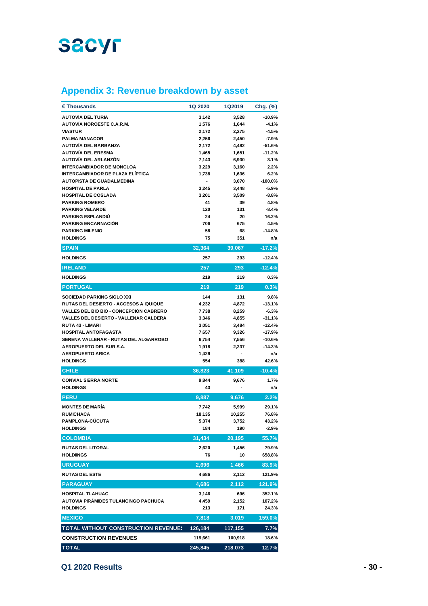### **Appendix 3: Revenue breakdown by asset**

| € Thousands                                                   | 1Q 2020        | 1Q2019                   | Chg. (%)             |
|---------------------------------------------------------------|----------------|--------------------------|----------------------|
| AUTOVÍA DEL TURIA                                             | 3,142          | 3,528                    | $-10.9%$             |
| <b>AUTOVÍA NOROESTE C.A.R.M.</b>                              | 1,576          | 1,644                    | $-4.1%$              |
| <b>VIASTUR</b>                                                | 2,172          | 2,275                    | $-4.5%$              |
| <b>PALMA MANACOR</b>                                          | 2,256          | 2,450                    | $-7.9%$              |
| AUTOVÍA DEL BARBANZA                                          | 2,172          | 4,482                    | -51.6%               |
| <b>AUTOVÍA DEL ERESMA</b>                                     | 1,465          | 1,651                    | $-11.2%$             |
| AUTOVÍA DEL ARLANZÓN                                          | 7,143          | 6,930                    | 3.1%                 |
| <b>INTERCAMBIADOR DE MONCLOA</b>                              | 3,229          | 3,160                    | 2.2%                 |
| <b>INTERCAMBIADOR DE PLAZA ELÍPTICA</b>                       | 1,738          | 1,636                    | 6.2%                 |
| AUTOPISTA DE GUADALMEDINA                                     | ۰              | 3,070                    | $-100.0%$            |
| <b>HOSPITAL DE PARLA</b>                                      | 3,245          | 3,448                    | $-5.9%$              |
| <b>HOSPITAL DE COSLADA</b>                                    | 3,201          | 3,509                    | $-8.8%$              |
| <b>PARKING ROMERO</b>                                         | 41             | 39                       | 4.8%                 |
| <b>PARKING VELARDE</b>                                        | 120            | 131                      | $-8.4%$              |
| <b>PARKING ESPLANDIU</b><br><b>PARKING ENCARNACIÓN</b>        | 24<br>706      | 20<br>675                | 16.2%<br>4.5%        |
| <b>PARKING MILENIO</b>                                        | 58             | 68                       | $-14.8%$             |
| <b>HOLDINGS</b>                                               | 75             | 351                      | n/a                  |
| <b>SPAIN</b>                                                  | 32,364         | 39,067                   | $-17.2%$             |
|                                                               |                |                          |                      |
| <b>HOLDINGS</b>                                               | 257            | 293                      | $-12.4%$             |
| <b>IRELAND</b>                                                | 257            | 293                      | $-12.4%$             |
| <b>HOLDINGS</b>                                               | 219            | 219                      | 0.3%                 |
| <b>PORTUGAL</b>                                               | 219            | 219                      | 0.3%                 |
| <b>SOCIEDAD PARKING SIGLO XXI</b>                             | 144            | 131                      | 9.8%                 |
| <b>RUTAS DEL DESIERTO - ACCESOS A IQUIQUE</b>                 | 4,232          | 4,872                    | $-13.1%$             |
| <b>VALLES DEL BIO BIO - CONCEPCIÓN CABRERO</b>                | 7,738          | 8,259                    | $-6.3%$              |
| VALLES DEL DESIERTO - VALLENAR CALDERA                        | 3,346          | 4,855                    | $-31.1%$             |
| RUTA 43 - LIMARI                                              | 3,051          | 3,484                    | $-12.4%$             |
| HOSPITAL ANTOFAGASTA<br>SERENA VALLENAR - RUTAS DEL ALGARROBO | 7,657<br>6,754 | 9,326                    | $-17.9%$<br>$-10.6%$ |
| <b>AEROPUERTO DEL SUR S.A.</b>                                | 1,918          | 7,556<br>2,237           | $-14.3%$             |
| <b>AEROPUERTO ARICA</b>                                       | 1,429          | $\overline{\phantom{a}}$ | n/a                  |
| <b>HOLDINGS</b>                                               | 554            | 388                      | 42.6%                |
| <b>CHILE</b>                                                  | 36,823         | 41,109                   | $-10.4%$             |
| <b>CONVIAL SIERRA NORTE</b>                                   | 9,844          | 9,676                    | 1.7%                 |
| <b>HOLDINGS</b>                                               | 43             |                          | n/a                  |
| <b>PERU</b>                                                   | 9,887          | 9,676                    | $2.2\%$              |
| <b>MONTES DE MARÍA</b>                                        | 7,742          | 5,999                    | 29.1%                |
| <b>RUMICHACA</b>                                              | 18,135         | 10,255                   | 76.8%                |
| PAMPLONA-CÚCUTA                                               | 5,374          | 3.752                    | 43.2%                |
| <b>HOLDINGS</b>                                               | 184            | 190                      | $-2.9%$              |
| <b>COLOMBIA</b>                                               | 31,434         | 20,195                   | 55.7%                |
| <b>RUTAS DEL LITORAL</b>                                      | 2,620          | 1,456                    | 79.9%                |
| <b>HOLDINGS</b>                                               | 76             | 10                       | 658.8%               |
| <b>URUGUAY</b>                                                | 2,696          | 1,466                    | 83.9%                |
| <b>RUTAS DEL ESTE</b>                                         | 4,686          | 2,112                    | 121.9%               |
| <b>PARAGUAY</b>                                               | 4,686          | 2,112                    | 121.9%               |
| <b>HOSPITAL TLAHUAC</b>                                       | 3,146          | 696                      | 352.1%               |
| AUTOVIA PIRÁMIDES TULANCINGO PACHUCA                          | 4,459          | 2,152                    | 107.2%               |
| <b>HOLDINGS</b>                                               | 213            | 171                      | 24.3%                |
| <b>MEXICO</b>                                                 | 7,818          | 3,019                    | 159.0%               |
| <b>TOTAL WITHOUT CONSTRUCTION REVENUES</b>                    | 126,184        | 117,155                  | 7.7%                 |
| <b>CONSTRUCTION REVENUES</b>                                  | 119,661        | 100,918                  | 18.6%                |
| <b>TOTAL</b>                                                  | 245,845        | 218,073                  | 12.7%                |

**Q1 2020 Results - 30 -**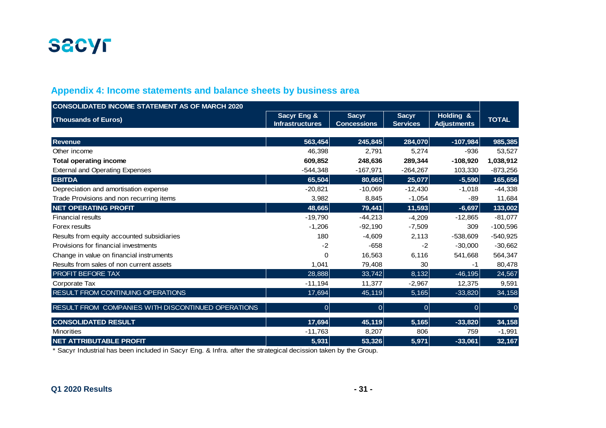

### **Appendix 4: Income statements and balance sheets by business area**

| <b>CONSOLIDATED INCOME STATEMENT AS OF MARCH 2020</b> |                                                  |                                    |                                 |                                 |              |
|-------------------------------------------------------|--------------------------------------------------|------------------------------------|---------------------------------|---------------------------------|--------------|
| (Thousands of Euros)                                  | <b>Sacyr Eng &amp;</b><br><b>Infrastructures</b> | <b>Sacyr</b><br><b>Concessions</b> | <b>Sacyr</b><br><b>Services</b> | Holding &<br><b>Adjustments</b> | <b>TOTAL</b> |
|                                                       |                                                  |                                    |                                 |                                 |              |
| <b>Revenue</b>                                        | 563,454                                          | 245,845                            | 284,070                         | $-107,984$                      | 985,385      |
| Other income                                          | 46.398                                           | 2,791                              | 5,274                           | $-936$                          | 53,527       |
| <b>Total operating income</b>                         | 609,852                                          | 248,636                            | 289,344                         | $-108,920$                      | 1,038,912    |
| <b>External and Operating Expenses</b>                | $-544,348$                                       | $-167,971$                         | $-264,267$                      | 103,330                         | $-873,256$   |
| <b>EBITDA</b>                                         | 65,504                                           | 80,665                             | 25,077                          | $-5,590$                        | 165,656      |
| Depreciation and amortisation expense                 | $-20,821$                                        | $-10,069$                          | $-12,430$                       | $-1,018$                        | $-44,338$    |
| Trade Provisions and non recurring items              | 3,982                                            | 8,845                              | $-1,054$                        | -89                             | 11,684       |
| <b>NET OPERATING PROFIT</b>                           | 48,665                                           | 79,441                             | 11,593                          | $-6,697$                        | 133,002      |
| <b>Financial results</b>                              | $-19,790$                                        | $-44,213$                          | $-4,209$                        | $-12,865$                       | $-81,077$    |
| Forex results                                         | $-1,206$                                         | $-92,190$                          | $-7,509$                        | 309                             | $-100,596$   |
| Results from equity accounted subsidiaries            | 180                                              | $-4,609$                           | 2,113                           | $-538,609$                      | $-540,925$   |
| Provisions for financial investments                  | $-2$                                             | $-658$                             | $-2$                            | $-30,000$                       | $-30,662$    |
| Change in value on financial instruments              | $\Omega$                                         | 16,563                             | 6,116                           | 541,668                         | 564,347      |
| Results from sales of non current assets              | 1,041                                            | 79,408                             | 30                              | -1                              | 80,478       |
| PROFIT BEFORE TAX                                     | 28,888                                           | 33,742                             | 8,132                           | $-46,195$                       | 24,567       |
| Corporate Tax                                         | $-11,194$                                        | 11,377                             | $-2,967$                        | 12,375                          | 9,591        |
| RESULT FROM CONTINUING OPERATIONS                     | 17,694                                           | 45,119                             | $\overline{5,165}$              | $-33,820$                       | 34,158       |
| RESULT FROM COMPANIES WITH DISCONTINUED OPERATIONS    | 0                                                | $\overline{0}$                     | 0                               | $\overline{0}$                  |              |
| <b>CONSOLIDATED RESULT</b>                            | 17,694                                           | 45,119                             | 5,165                           | $-33,820$                       | 34,158       |
| <b>Minorities</b>                                     | $-11,763$                                        | 8,207                              | 806                             | 759                             | $-1,991$     |
| <b>NET ATTRIBUTABLE PROFIT</b>                        | 5,931                                            | 53,326                             | 5,971                           | $-33,061$                       | 32,167       |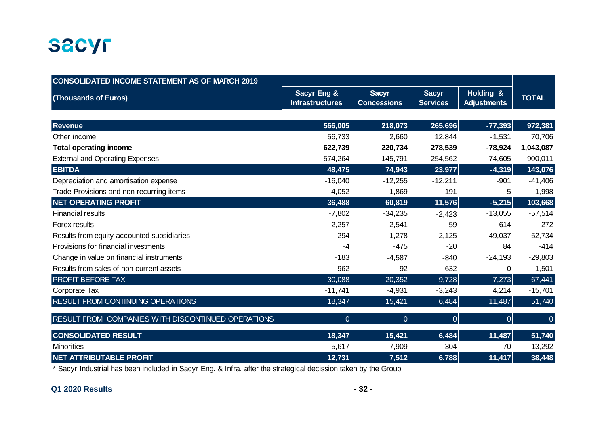

| <b>CONSOLIDATED INCOME STATEMENT AS OF MARCH 2019</b> |                                                  |                                    |                                 |                                 |              |
|-------------------------------------------------------|--------------------------------------------------|------------------------------------|---------------------------------|---------------------------------|--------------|
| (Thousands of Euros)                                  | <b>Sacyr Eng &amp;</b><br><b>Infrastructures</b> | <b>Sacyr</b><br><b>Concessions</b> | <b>Sacyr</b><br><b>Services</b> | Holding &<br><b>Adjustments</b> | <b>TOTAL</b> |
|                                                       |                                                  |                                    |                                 |                                 |              |
| <b>Revenue</b>                                        | 566,005                                          | 218,073                            | 265,696                         | $-77,393$                       | 972,381      |
| Other income                                          | 56,733                                           | 2,660                              | 12,844                          | $-1,531$                        | 70,706       |
| <b>Total operating income</b>                         | 622,739                                          | 220,734                            | 278,539                         | $-78,924$                       | 1,043,087    |
| <b>External and Operating Expenses</b>                | $-574,264$                                       | $-145,791$                         | $-254,562$                      | 74,605                          | $-900,011$   |
| <b>EBITDA</b>                                         | 48,475                                           | 74,943                             | 23,977                          | $-4,319$                        | 143,076      |
| Depreciation and amortisation expense                 | $-16,040$                                        | $-12,255$                          | $-12,211$                       | $-901$                          | $-41,406$    |
| Trade Provisions and non recurring items              | 4,052                                            | $-1,869$                           | $-191$                          | 5                               | 1,998        |
| <b>NET OPERATING PROFIT</b>                           | 36,488                                           | 60,819                             | 11,576                          | $-5,215$                        | 103,668      |
| <b>Financial results</b>                              | $-7,802$                                         | $-34,235$                          | $-2,423$                        | $-13,055$                       | $-57,514$    |
| Forex results                                         | 2,257                                            | $-2,541$                           | $-59$                           | 614                             | 272          |
| Results from equity accounted subsidiaries            | 294                                              | 1,278                              | 2,125                           | 49,037                          | 52,734       |
| Provisions for financial investments                  | -4                                               | $-475$                             | $-20$                           | 84                              | $-414$       |
| Change in value on financial instruments              | $-183$                                           | $-4,587$                           | $-840$                          | $-24,193$                       | $-29,803$    |
| Results from sales of non current assets              | $-962$                                           | 92                                 | $-632$                          | 0                               | $-1,501$     |
| PROFIT BEFORE TAX                                     | 30,088                                           | 20,352                             | 9,728                           | 7,273                           | 67,441       |
| Corporate Tax                                         | $-11,741$                                        | $-4,931$                           | $-3,243$                        | 4,214                           | $-15,701$    |
| RESULT FROM CONTINUING OPERATIONS                     | 18,347                                           | 15,421                             | 6,484                           | 11,487                          | 51,740       |
| RESULT FROM COMPANIES WITH DISCONTINUED OPERATIONS    | $\overline{0}$                                   | $\overline{0}$                     | 0                               | 0                               | $\mathbf{0}$ |
| <b>CONSOLIDATED RESULT</b>                            | 18,347                                           | 15,421                             | 6,484                           | 11,487                          | 51,740       |
| <b>Minorities</b>                                     | $-5,617$                                         | $-7,909$                           | 304                             | $-70$                           | $-13,292$    |
| <b>NET ATTRIBUTABLE PROFIT</b>                        | 12,731                                           | 7,512                              | 6,788                           | 11,417                          | 38,448       |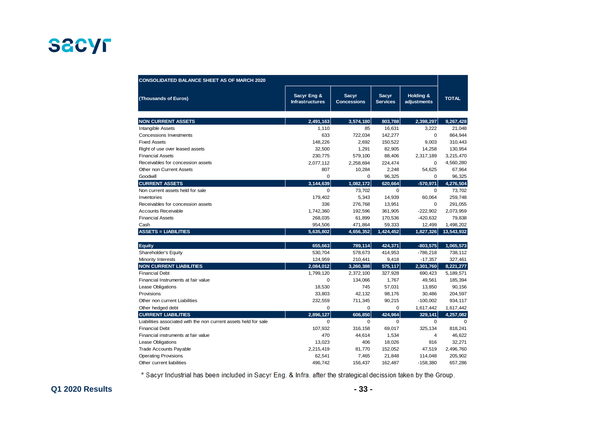| <b>CONSOLIDATED BALANCE SHEET AS OF MARCH 2020</b>               |                                       |                                    |                                 |                          |              |
|------------------------------------------------------------------|---------------------------------------|------------------------------------|---------------------------------|--------------------------|--------------|
| (Thousands of Euros)                                             | Sacyr Eng &<br><b>Infrastructures</b> | <b>Sacyr</b><br><b>Concessions</b> | <b>Sacyr</b><br><b>Services</b> | Holding &<br>adjustments | <b>TOTAL</b> |
| <b>NON CURRENT ASSETS</b>                                        | 2,491,163                             | 3,574,180                          | 803.788                         | 2.398.297                | 9,267,428    |
| <b>Intangible Assets</b>                                         | 1,110                                 | 85                                 | 16,631                          | 3,222                    | 21,048       |
| <b>Concessions Investments</b>                                   | 633                                   | 722,034                            | 142,277                         | $\mathbf 0$              | 864,944      |
| <b>Fixed Assets</b>                                              | 148,226                               | 2,692                              | 150,522                         | 9,003                    | 310,443      |
| Right of use over leased assets                                  | 32,500                                | 1,291                              | 82,905                          | 14,258                   | 130,954      |
| <b>Financial Assets</b>                                          | 230,775                               | 579,100                            | 88,406                          | 2,317,189                | 3,215,470    |
| Receivables for concession assets                                | 2,077,112                             | 2,258,694                          | 224,474                         | $\mathbf 0$              | 4,560,280    |
| Other non Current Assets                                         | 807                                   | 10,284                             | 2,248                           | 54,625                   | 67,964       |
| Goodwill                                                         | $\mathbf 0$                           | $\mathbf 0$                        | 96,325                          | 0                        | 96,325       |
| <b>CURRENT ASSETS</b>                                            | 3,144,639                             | 1,082,172                          | 620,664                         | $-570,971$               | 4,276,504    |
| Non current assets held for sale                                 | $\Omega$                              | 73,702                             | $\mathbf 0$                     | $\mathbf 0$              | 73,702       |
| Inventories                                                      | 179,402                               | 5,343                              | 14,939                          | 60,064                   | 259,748      |
| Receivables for concession assets                                | 336                                   | 276,768                            | 13,951                          | 0                        | 291,055      |
| <b>Accounts Receivable</b>                                       | 1,742,360                             | 192,596                            | 361,905                         | $-222,902$               | 2,073,959    |
| <b>Financial Assets</b>                                          | 268,035                               | 61,899                             | 170,536                         | $-420,632$               | 79,838       |
| Cash                                                             | 954,506                               | 471,864                            | 59,333                          | 12,499                   | 1,498,202    |
| <b>ASSETS = LIABILITIES</b>                                      | 5,635,802                             | 4,656,352                          | 1,424,452                       | 1,827,326                | 13,543,932   |
|                                                                  |                                       |                                    |                                 |                          |              |
| Equity                                                           | 655,663                               | 789,114                            | 424,371                         | $-803,575$               | 1,065,573    |
| Shareholder's Equity                                             | 530,704                               | 578,673                            | 414,953                         | $-786,218$               | 738,112      |
| Minority Interests                                               | 124,959                               | 210,441                            | 9,418                           | $-17,357$                | 327,461      |
| <b>NON CURRENT LIABILITIES</b>                                   | 2,084,012                             | 3,260,388                          | 575,117                         | 2,301,760                | 8,221,277    |
| <b>Financial Debt</b>                                            | 1,799,120                             | 2,372,100                          | 327,928                         | 690,423                  | 5,189,571    |
| Financial Instruments at fair value                              | $\mathbf 0$                           | 134,066                            | 1,767                           | 49,561                   | 185,394      |
| Lease Obligations                                                | 18,530                                | 745                                | 57,031                          | 13,850                   | 90,156       |
| Provisions                                                       | 33,803                                | 42,132                             | 98,176                          | 30,486                   | 204,597      |
| Other non current Liabilities                                    | 232,559                               | 711,345                            | 90,215                          | $-100,002$               | 934,117      |
| Other hedged debt                                                | $\mathbf 0$                           | $\mathbf 0$                        | $\mathbf 0$                     | 1,617,442                | 1,617,442    |
| <b>CURRENT LIABILITIES</b>                                       | 2,896,127                             | 606.850                            | 424,964                         | 329,141                  | 4,257,082    |
| Liabilities associated with the non current assets held for sale | $\mathbf 0$                           | $\mathbf 0$                        | 0                               | $\mathbf 0$              | $\mathbf 0$  |
| <b>Financial Debt</b>                                            | 107,932                               | 316,158                            | 69,017                          | 325,134                  | 818,241      |
| Financial instruments at fair value                              | 470                                   | 44,614                             | 1,534                           | $\overline{4}$           | 46,622       |
| Lease Obligations                                                | 13,023                                | 406                                | 18,026                          | 816                      | 32,271       |
| Trade Accounts Payable                                           | 2,215,419                             | 81,770                             | 152,052                         | 47,519                   | 2,496,760    |
| <b>Operating Provisions</b>                                      | 62.541                                | 7,465                              | 21,848                          | 114,048                  | 205,902      |
| Other current liabilities                                        | 496,742                               | 156,437                            | 162,487                         | $-158,380$               | 657,286      |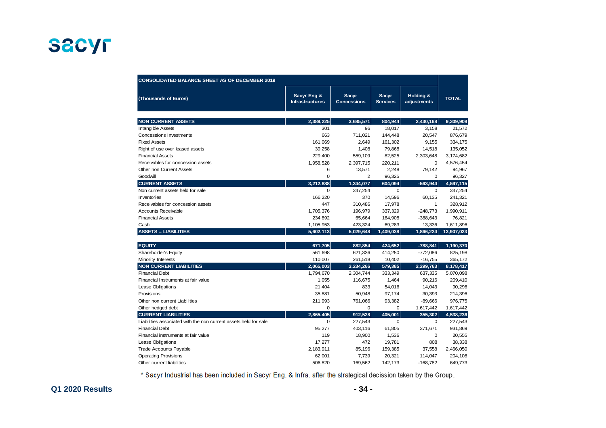| <b>CONSOLIDATED BALANCE SHEET AS OF DECEMBER 2019</b>            |                                       |                                    |                                 |                          |              |
|------------------------------------------------------------------|---------------------------------------|------------------------------------|---------------------------------|--------------------------|--------------|
| (Thousands of Euros)                                             | Sacyr Eng &<br><b>Infrastructures</b> | <b>Sacyr</b><br><b>Concessions</b> | <b>Sacyr</b><br><b>Services</b> | Holding &<br>adjustments | <b>TOTAL</b> |
| <b>NON CURRENT ASSETS</b>                                        | 2.389.225                             | 3.685.571                          | 804,944                         | 2.430.168                | 9,309,908    |
| <b>Intangible Assets</b>                                         | 301                                   | 96                                 | 18,017                          | 3,158                    | 21,572       |
| <b>Concessions Investments</b>                                   | 663                                   | 711,021                            | 144,448                         | 20,547                   | 876,679      |
| <b>Fixed Assets</b>                                              | 161,069                               | 2,649                              | 161,302                         | 9,155                    | 334,175      |
| Right of use over leased assets                                  | 39,258                                | 1,408                              | 79,868                          | 14,518                   | 135,052      |
| <b>Financial Assets</b>                                          | 229,400                               | 559,109                            | 82,525                          | 2,303,648                | 3,174,682    |
| Receivables for concession assets                                | 1,958,528                             | 2,397,715                          | 220,211                         | $\mathbf 0$              | 4,576,454    |
| Other non Current Assets                                         | 6                                     | 13,571                             | 2,248                           | 79,142                   | 94,967       |
| Goodwill                                                         | $\mathbf 0$                           | $\overline{2}$                     | 96,325                          | 0                        | 96,327       |
| <b>CURRENT ASSETS</b>                                            | 3,212,888                             | 1,344,077                          | 604,094                         | $-563,944$               | 4,597,115    |
| Non current assets held for sale                                 | $\Omega$                              | 347,254                            | 0                               | 0                        | 347,254      |
| Inventories                                                      | 166,220                               | 370                                | 14,596                          | 60,135                   | 241,321      |
| Receivables for concession assets                                | 447                                   | 310,486                            | 17,978                          | 1                        | 328,912      |
| <b>Accounts Receivable</b>                                       | 1,705,376                             | 196,979                            | 337,329                         | $-248,773$               | 1,990,911    |
| <b>Financial Assets</b>                                          | 234,892                               | 65,664                             | 164,908                         | $-388,643$               | 76,821       |
| Cash                                                             | 1,105,953                             | 423,324                            | 69,283                          | 13,336                   | 1,611,896    |
| <b>ASSETS = LIABILITIES</b>                                      | 5,602,113                             | 5,029,648                          | 1,409,038                       | 1,866,224                | 13,907,023   |
|                                                                  |                                       |                                    |                                 |                          |              |
| <b>EQUITY</b>                                                    | 671,705                               | 882,854                            | 424,652                         | $-788,841$               | 1,190,370    |
| Shareholder's Equity                                             | 561,698                               | 621,336                            | 414,250                         | $-772,086$               | 825,198      |
| Minority Interests                                               | 110,007                               | 261,518                            | 10,402                          | $-16,755$                | 365,172      |
| <b>NON CURRENT LIABILITIES</b>                                   | 2,065,003                             | 3,234,266                          | 579,385                         | 2,299,763                | 8,178,417    |
| <b>Financial Debt</b>                                            | 1,794,670                             | 2,304,744                          | 333,349                         | 637,335                  | 5,070,098    |
| Financial Instruments at fair value                              | 1,055                                 | 116,675                            | 1,464                           | 90,216                   | 209,410      |
| Lease Obligations                                                | 21,404                                | 833                                | 54,016                          | 14,043                   | 90,296       |
| Provisions                                                       | 35,881                                | 50,948                             | 97,174                          | 30,393                   | 214,396      |
| Other non current Liabilities                                    | 211,993                               | 761,066                            | 93,382                          | $-89,666$                | 976,775      |
| Other hedged debt                                                | $\mathbf 0$                           | $\mathbf 0$                        | $\mathbf 0$                     | 1,617,442                | 1,617,442    |
| <b>CURRENT LIABILITIES</b>                                       | 2,865,405                             | 912,528                            | 405,001                         | 355,302                  | 4,538,236    |
| Liabilities associated with the non current assets held for sale | $\mathbf 0$                           | 227,543                            | 0                               | $\mathbf 0$              | 227,543      |
| <b>Financial Debt</b>                                            | 95,277                                | 403,116                            | 61,805                          | 371,671                  | 931,869      |
| Financial instruments at fair value                              | 119                                   | 18,900                             | 1,536                           | 0                        | 20,555       |
| <b>Lease Obligations</b>                                         | 17,277                                | 472                                | 19,781                          | 808                      | 38,338       |
| Trade Accounts Payable                                           | 2,183,911                             | 85,196                             | 159,385                         | 37,558                   | 2,466,050    |
| <b>Operating Provisions</b>                                      | 62,001                                | 7,739                              | 20,321                          | 114,047                  | 204,108      |
| Other current liabilities                                        | 506,820                               | 169,562                            | 142,173                         | $-168,782$               | 649,773      |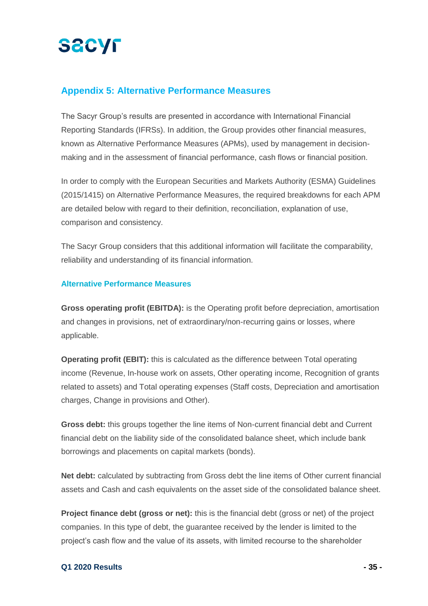# **SECYF**

### **Appendix 5: Alternative Performance Measures**

The Sacyr Group's results are presented in accordance with International Financial Reporting Standards (IFRSs). In addition, the Group provides other financial measures, known as Alternative Performance Measures (APMs), used by management in decisionmaking and in the assessment of financial performance, cash flows or financial position.

In order to comply with the European Securities and Markets Authority (ESMA) Guidelines (2015/1415) on Alternative Performance Measures, the required breakdowns for each APM are detailed below with regard to their definition, reconciliation, explanation of use, comparison and consistency.

The Sacyr Group considers that this additional information will facilitate the comparability, reliability and understanding of its financial information.

#### **Alternative Performance Measures**

**Gross operating profit (EBITDA):** is the Operating profit before depreciation, amortisation and changes in provisions, net of extraordinary/non-recurring gains or losses, where applicable.

**Operating profit (EBIT):** this is calculated as the difference between Total operating income (Revenue, In-house work on assets, Other operating income, Recognition of grants related to assets) and Total operating expenses (Staff costs, Depreciation and amortisation charges, Change in provisions and Other).

**Gross debt:** this groups together the line items of Non-current financial debt and Current financial debt on the liability side of the consolidated balance sheet, which include bank borrowings and placements on capital markets (bonds).

**Net debt:** calculated by subtracting from Gross debt the line items of Other current financial assets and Cash and cash equivalents on the asset side of the consolidated balance sheet.

**Project finance debt (gross or net):** this is the financial debt (gross or net) of the project companies. In this type of debt, the guarantee received by the lender is limited to the project's cash flow and the value of its assets, with limited recourse to the shareholder

#### **Q1 2020 Results - 35 -**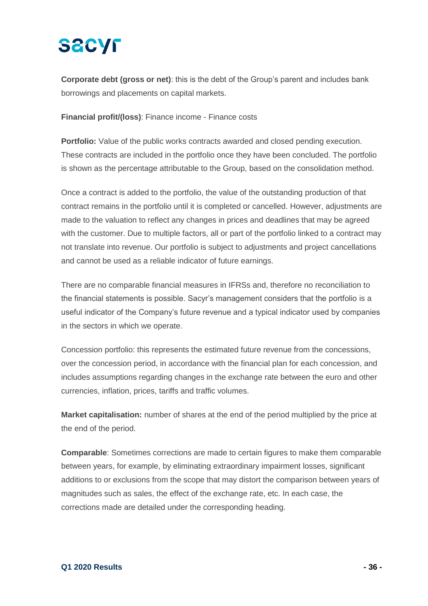# **SACYF**

**Corporate debt (gross or net)**: this is the debt of the Group's parent and includes bank borrowings and placements on capital markets.

**Financial profit/(loss)**: Finance income - Finance costs

**Portfolio:** Value of the public works contracts awarded and closed pending execution. These contracts are included in the portfolio once they have been concluded. The portfolio is shown as the percentage attributable to the Group, based on the consolidation method.

Once a contract is added to the portfolio, the value of the outstanding production of that contract remains in the portfolio until it is completed or cancelled. However, adjustments are made to the valuation to reflect any changes in prices and deadlines that may be agreed with the customer. Due to multiple factors, all or part of the portfolio linked to a contract may not translate into revenue. Our portfolio is subject to adjustments and project cancellations and cannot be used as a reliable indicator of future earnings.

There are no comparable financial measures in IFRSs and, therefore no reconciliation to the financial statements is possible. Sacyr's management considers that the portfolio is a useful indicator of the Company's future revenue and a typical indicator used by companies in the sectors in which we operate.

Concession portfolio: this represents the estimated future revenue from the concessions, over the concession period, in accordance with the financial plan for each concession, and includes assumptions regarding changes in the exchange rate between the euro and other currencies, inflation, prices, tariffs and traffic volumes.

**Market capitalisation:** number of shares at the end of the period multiplied by the price at the end of the period.

**Comparable**: Sometimes corrections are made to certain figures to make them comparable between years, for example, by eliminating extraordinary impairment losses, significant additions to or exclusions from the scope that may distort the comparison between years of magnitudes such as sales, the effect of the exchange rate, etc. In each case, the corrections made are detailed under the corresponding heading.